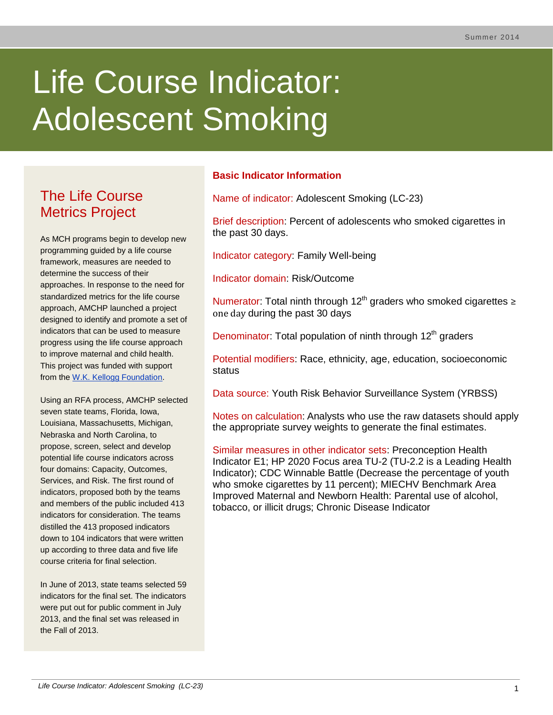# Life Course Indicator: Adolescent Smoking

# The Life Course Metrics Project

As MCH programs begin to develop new programming guided by a life course framework, measures are needed to determine the success of their approaches. In response to the need for standardized metrics for the life course approach, AMCHP launched a project designed to identify and promote a set of indicators that can be used to measure progress using the life course approach to improve maternal and child health. This project was funded with support from the [W.K. Kellogg Foundation.](http://www.wkkf.org/)

Using an RFA process, AMCHP selected seven state teams, Florida, Iowa, Louisiana, Massachusetts, Michigan, Nebraska and North Carolina, to propose, screen, select and develop potential life course indicators across four domains: Capacity, Outcomes, Services, and Risk. The first round of indicators, proposed both by the teams and members of the public included 413 indicators for consideration. The teams distilled the 413 proposed indicators down to 104 indicators that were written up according to three data and five life course criteria for final selection.

In June of 2013, state teams selected 59 indicators for the final set. The indicators were put out for public comment in July 2013, and the final set was released in the Fall of 2013.

# **Basic Indicator Information**

Name of indicator: Adolescent Smoking (LC-23)

Brief description: Percent of adolescents who smoked cigarettes in the past 30 days.

Indicator category: Family Well-being

Indicator domain: Risk/Outcome

Numerator: Total ninth through 12<sup>th</sup> graders who smoked cigarettes  $\geq$ one day during the past 30 days

Denominator: Total population of ninth through 12<sup>th</sup> graders

Potential modifiers: Race, ethnicity, age, education, socioeconomic status

Data source: Youth Risk Behavior Surveillance System (YRBSS)

Notes on calculation: Analysts who use the raw datasets should apply the appropriate survey weights to generate the final estimates.

Similar measures in other indicator sets: Preconception Health Indicator E1; HP 2020 Focus area TU-2 (TU-2.2 is a Leading Health Indicator); CDC Winnable Battle (Decrease the percentage of youth who smoke cigarettes by 11 percent); MIECHV Benchmark Area Improved Maternal and Newborn Health: Parental use of alcohol, tobacco, or illicit drugs; Chronic Disease Indicator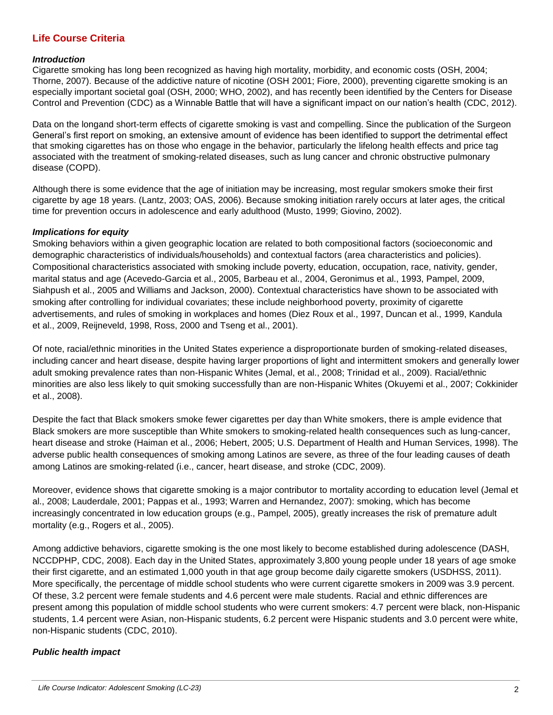# **Life Course Criteria**

#### *Introduction*

Cigarette smoking has long been recognized as having high mortality, morbidity, and economic costs (OSH, 2004; Thorne, 2007). Because of the addictive nature of nicotine (OSH 2001; Fiore, 2000), preventing cigarette smoking is an especially important societal goal (OSH, 2000; WHO, 2002), and has recently been identified by the Centers for Disease Control and Prevention (CDC) as a Winnable Battle that will have a significant impact on our nation's health (CDC, 2012).

Data on the longand short-term effects of cigarette smoking is vast and compelling. Since the publication of the Surgeon General's first report on smoking, an extensive amount of evidence has been identified to support the detrimental effect that smoking cigarettes has on those who engage in the behavior, particularly the lifelong health effects and price tag associated with the treatment of smoking-related diseases, such as lung cancer and chronic obstructive pulmonary disease (COPD).

Although there is some evidence that the age of initiation may be increasing, most regular smokers smoke their first cigarette by age 18 years. (Lantz, 2003; OAS, 2006). Because smoking initiation rarely occurs at later ages, the critical time for prevention occurs in adolescence and early adulthood (Musto, 1999; Giovino, 2002).

#### *Implications for equity*

Smoking behaviors within a given geographic location are related to both compositional factors (socioeconomic and demographic characteristics of individuals/households) and contextual factors (area characteristics and policies). Compositional characteristics associated with smoking include poverty, education, occupation, race, nativity, gender, marital status and age (Acevedo-Garcia et al., 2005, Barbeau et al., 2004, Geronimus et al., 1993, Pampel, 2009, Siahpush et al., 2005 and Williams and Jackson, 2000). Contextual characteristics have shown to be associated with smoking after controlling for individual covariates; these include neighborhood poverty, proximity of cigarette advertisements, and rules of smoking in workplaces and homes (Diez Roux et al., 1997, Duncan et al., 1999, Kandula et al., 2009, Reijneveld, 1998, Ross, 2000 and Tseng et al., 2001).

Of note, racial/ethnic minorities in the United States experience a disproportionate burden of smoking-related diseases, including cancer and heart disease, despite having larger proportions of light and intermittent smokers and generally lower adult smoking prevalence rates than non-Hispanic Whites (Jemal, et al., 2008; Trinidad et al., 2009). Racial/ethnic minorities are also less likely to quit smoking successfully than are non-Hispanic Whites (Okuyemi et al., 2007; Cokkinider et al., 2008).

Despite the fact that Black smokers smoke fewer cigarettes per day than White smokers, there is ample evidence that Black smokers are more susceptible than White smokers to smoking-related health consequences such as lung-cancer, heart disease and stroke (Haiman et al., 2006; Hebert, 2005; U.S. Department of Health and Human Services, 1998). The adverse public health consequences of smoking among Latinos are severe, as three of the four leading causes of death among Latinos are smoking-related (i.e., cancer, heart disease, and stroke (CDC, 2009).

Moreover, evidence shows that cigarette smoking is a major contributor to mortality according to education level (Jemal et al., 2008; Lauderdale, 2001; Pappas et al., 1993; Warren and Hernandez, 2007): smoking, which has become increasingly concentrated in low education groups (e.g., Pampel, 2005), greatly increases the risk of premature adult mortality (e.g., Rogers et al., 2005).

Among addictive behaviors, cigarette smoking is the one most likely to become established during adolescence (DASH, NCCDPHP, CDC, 2008). Each day in the United States, approximately 3,800 young people under 18 years of age smoke their first cigarette, and an estimated 1,000 youth in that age group become daily cigarette smokers (USDHSS, 2011). More specifically, the percentage of middle school students who were current cigarette smokers in 2009 was 3.9 percent. Of these, 3.2 percent were female students and 4.6 percent were male students. Racial and ethnic differences are present among this population of middle school students who were current smokers: 4.7 percent were black, non-Hispanic students, 1.4 percent were Asian, non-Hispanic students, 6.2 percent were Hispanic students and 3.0 percent were white, non-Hispanic students (CDC, 2010).

# *Public health impact*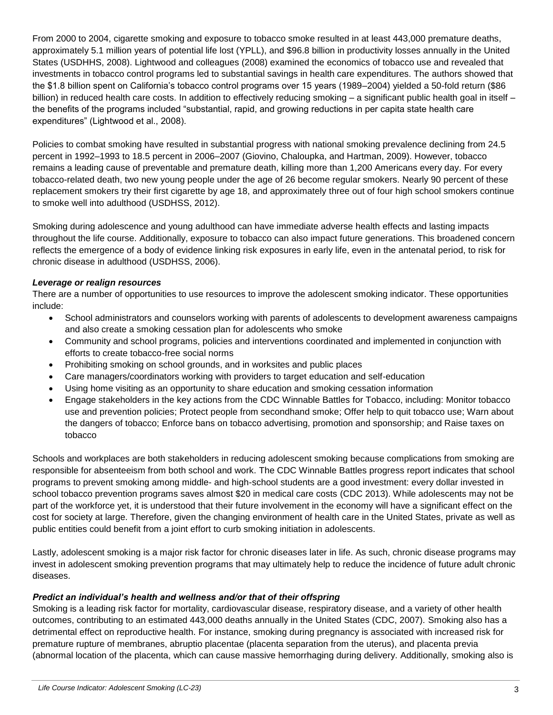From 2000 to 2004, cigarette smoking and exposure to tobacco smoke resulted in at least 443,000 premature deaths, approximately 5.1 million years of potential life lost (YPLL), and \$96.8 billion in productivity losses annually in the United States (USDHHS, 2008). Lightwood and colleagues (2008) examined the economics of tobacco use and revealed that investments in tobacco control programs led to substantial savings in health care expenditures. The authors showed that the \$1.8 billion spent on California's tobacco control programs over 15 years (1989–2004) yielded a 50-fold return (\$86 billion) in reduced health care costs. In addition to effectively reducing smoking – a significant public health goal in itself – the benefits of the programs included "substantial, rapid, and growing reductions in per capita state health care expenditures" (Lightwood et al., 2008).

Policies to combat smoking have resulted in substantial progress with national smoking prevalence declining from 24.5 percent in 1992–1993 to 18.5 percent in 2006–2007 (Giovino, Chaloupka, and Hartman, 2009). However, tobacco remains a leading cause of preventable and premature death, killing more than 1,200 Americans every day. For every tobacco-related death, two new young people under the age of 26 become regular smokers. Nearly 90 percent of these replacement smokers try their first cigarette by age 18, and approximately three out of four high school smokers continue to smoke well into adulthood (USDHSS, 2012).

Smoking during adolescence and young adulthood can have immediate adverse health effects and lasting impacts throughout the life course. Additionally, exposure to tobacco can also impact future generations. This broadened concern reflects the emergence of a body of evidence linking risk exposures in early life, even in the antenatal period, to risk for chronic disease in adulthood (USDHSS, 2006).

# *Leverage or realign resources*

There are a number of opportunities to use resources to improve the adolescent smoking indicator. These opportunities include:

- School administrators and counselors working with parents of adolescents to development awareness campaigns and also create a smoking cessation plan for adolescents who smoke
- Community and school programs, policies and interventions coordinated and implemented in conjunction with efforts to create tobacco-free social norms
- Prohibiting smoking on school grounds, and in worksites and public places
- Care managers/coordinators working with providers to target education and self-education
- Using home visiting as an opportunity to share education and smoking cessation information
- Engage stakeholders in the key actions from the CDC Winnable Battles for Tobacco, including: Monitor tobacco use and prevention policies; Protect people from secondhand smoke; Offer help to quit tobacco use; Warn about the dangers of tobacco; Enforce bans on tobacco advertising, promotion and sponsorship; and Raise taxes on tobacco

Schools and workplaces are both stakeholders in reducing adolescent smoking because complications from smoking are responsible for absenteeism from both school and work. The CDC Winnable Battles progress report indicates that school programs to prevent smoking among middle- and high-school students are a good investment: every dollar invested in school tobacco prevention programs saves almost \$20 in medical care costs (CDC 2013). While adolescents may not be part of the workforce yet, it is understood that their future involvement in the economy will have a significant effect on the cost for society at large. Therefore, given the changing environment of health care in the United States, private as well as public entities could benefit from a joint effort to curb smoking initiation in adolescents.

Lastly, adolescent smoking is a major risk factor for chronic diseases later in life. As such, chronic disease programs may invest in adolescent smoking prevention programs that may ultimately help to reduce the incidence of future adult chronic diseases.

# *Predict an individual's health and wellness and/or that of their offspring*

Smoking is a leading risk factor for mortality, cardiovascular disease, respiratory disease, and a variety of other health outcomes, contributing to an estimated 443,000 deaths annually in the United States (CDC, 2007). Smoking also has a detrimental effect on reproductive health. For instance, smoking during pregnancy is associated with increased risk for premature rupture of membranes, abruptio placentae (placenta separation from the uterus), and placenta previa (abnormal location of the placenta, which can cause massive hemorrhaging during delivery. Additionally, smoking also is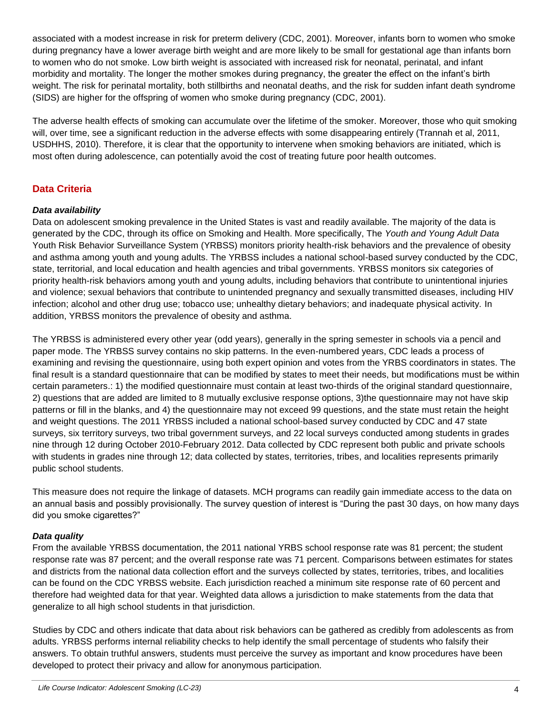associated with a modest increase in risk for preterm delivery (CDC, 2001). Moreover, infants born to women who smoke during pregnancy have a lower average birth weight and are more likely to be small for gestational age than infants born to women who do not smoke. Low birth weight is associated with increased risk for neonatal, perinatal, and infant morbidity and mortality. The longer the mother smokes during pregnancy, the greater the effect on the infant's birth weight. The risk for perinatal mortality, both stillbirths and neonatal deaths, and the risk for sudden infant death syndrome (SIDS) are higher for the offspring of women who smoke during pregnancy (CDC, 2001).

The adverse health effects of smoking can accumulate over the lifetime of the smoker. Moreover, those who quit smoking will, over time, see a significant reduction in the adverse effects with some disappearing entirely (Trannah et al, 2011, USDHHS, 2010). Therefore, it is clear that the opportunity to intervene when smoking behaviors are initiated, which is most often during adolescence, can potentially avoid the cost of treating future poor health outcomes.

# **Data Criteria**

# *Data availability*

Data on adolescent smoking prevalence in the United States is vast and readily available. The majority of the data is generated by the CDC, through its office on Smoking and Health. More specifically, The *Youth and Young Adult Data*  Youth Risk Behavior Surveillance System (YRBSS) monitors priority health-risk behaviors and the prevalence of obesity and asthma among youth and young adults. The YRBSS includes a national school-based survey conducted by the CDC, state, territorial, and local education and health agencies and tribal governments. YRBSS monitors six categories of priority health-risk behaviors among youth and young adults, including behaviors that contribute to unintentional injuries and violence; sexual behaviors that contribute to unintended pregnancy and sexually transmitted diseases, including HIV infection; alcohol and other drug use; tobacco use; unhealthy dietary behaviors; and inadequate physical activity. In addition, YRBSS monitors the prevalence of obesity and asthma.

The YRBSS is administered every other year (odd years), generally in the spring semester in schools via a pencil and paper mode. The YRBSS survey contains no skip patterns. In the even-numbered years, CDC leads a process of examining and revising the questionnaire, using both expert opinion and votes from the YRBS coordinators in states. The final result is a standard questionnaire that can be modified by states to meet their needs, but modifications must be within certain parameters.: 1) the modified questionnaire must contain at least two-thirds of the original standard questionnaire, 2) questions that are added are limited to 8 mutually exclusive response options, 3)the questionnaire may not have skip patterns or fill in the blanks, and 4) the questionnaire may not exceed 99 questions, and the state must retain the height and weight questions. The 2011 YRBSS included a national school-based survey conducted by CDC and 47 state surveys, six territory surveys, two tribal government surveys, and 22 local surveys conducted among students in grades nine through 12 during October 2010-February 2012. Data collected by CDC represent both public and private schools with students in grades nine through 12; data collected by states, territories, tribes, and localities represents primarily public school students.

This measure does not require the linkage of datasets. MCH programs can readily gain immediate access to the data on an annual basis and possibly provisionally. The survey question of interest is "During the past 30 days, on how many days did you smoke cigarettes?"

# *Data quality*

From the available YRBSS documentation, the 2011 national YRBS school response rate was 81 percent; the student response rate was 87 percent; and the overall response rate was 71 percent. Comparisons between estimates for states and districts from the national data collection effort and the surveys collected by states, territories, tribes, and localities can be found on the CDC YRBSS website. Each jurisdiction reached a minimum site response rate of 60 percent and therefore had weighted data for that year. Weighted data allows a jurisdiction to make statements from the data that generalize to all high school students in that jurisdiction.

Studies by CDC and others indicate that data about risk behaviors can be gathered as credibly from adolescents as from adults. YRBSS performs internal reliability checks to help identify the small percentage of students who falsify their answers. To obtain truthful answers, students must perceive the survey as important and know procedures have been developed to protect their privacy and allow for anonymous participation.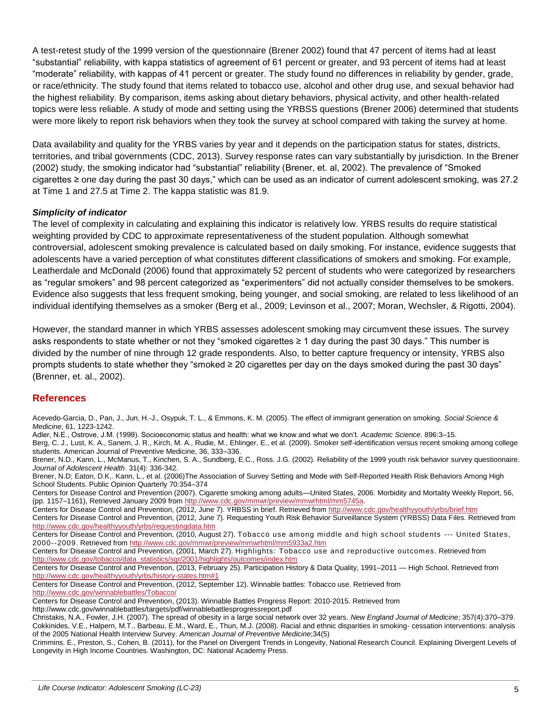A test-retest study of the 1999 version of the questionnaire (Brener 2002) found that 47 percent of items had at least "substantial" reliability, with kappa statistics of agreement of 61 percent or greater, and 93 percent of items had at least "moderate" reliability, with kappas of 41 percent or greater. The study found no differences in reliability by gender, grade, or race/ethnicity. The study found that items related to tobacco use, alcohol and other drug use, and sexual behavior had the highest reliability. By comparison, items asking about dietary behaviors, physical activity, and other health-related topics were less reliable. A study of mode and setting using the YRBSS questions (Brener 2006) determined that students were more likely to report risk behaviors when they took the survey at school compared with taking the survey at home.

Data availability and quality for the YRBS varies by year and it depends on the participation status for states, districts, territories, and tribal governments (CDC, 2013). Survey response rates can vary substantially by jurisdiction. In the Brener (2002) study, the smoking indicator had "substantial" reliability (Brener, et. al, 2002). The prevalence of "Smoked cigarettes ≥ one day during the past 30 days," which can be used as an indicator of current adolescent smoking, was 27.2 at Time 1 and 27.5 at Time 2. The kappa statistic was 81.9.

#### *Simplicity of indicator*

The level of complexity in calculating and explaining this indicator is relatively low. YRBS results do require statistical weighting provided by CDC to approximate representativeness of the student population. Although somewhat controversial, adolescent smoking prevalence is calculated based on daily smoking. For instance, evidence suggests that adolescents have a varied perception of what constitutes different classifications of smokers and smoking. For example, Leatherdale and McDonald (2006) found that approximately 52 percent of students who were categorized by researchers as "regular smokers" and 98 percent categorized as "experimenters" did not actually consider themselves to be smokers. Evidence also suggests that less frequent smoking, being younger, and social smoking, are related to less likelihood of an individual identifying themselves as a smoker (Berg et al., 2009; Levinson et al., 2007; Moran, Wechsler, & Rigotti, 2004).

However, the standard manner in which YRBS assesses adolescent smoking may circumvent these issues. The survey asks respondents to state whether or not they "smoked cigarettes ≥ 1 day during the past 30 days." This number is divided by the number of nine through 12 grade respondents. Also, to better capture frequency or intensity, YRBS also prompts students to state whether they "smoked ≥ 20 cigarettes per day on the days smoked during the past 30 days" (Brenner, et. al., 2002).

# **References**

Acevedo-Garcia, D., Pan, J., Jun, H.-J., Osypuk, T. L., & Emmons, K. M. (2005). The effect of immigrant generation on smoking. *Social Science & Medicine*, 61, 1223-1242.

Adler, N.E., Ostrove, J.M. (1999). Socioeconomic status and health: what we know and what we don't. *Academic Science*. 896:3–15.

Berg, C. J., Lust, K. A., Sanem, J. R., Kirch, M. A., Rudie, M., Ehlinger, E., et al. (2009). Smoker self-identification versus recent smoking among college students. American Journal of Preventive Medicine, 36, 333–336.

Brener, N.D., Kann, L., McManus, T., Kinchen, S. A., Sundberg, E.C., Ross. J.G. (2002). Reliability of the 1999 youth risk behavior survey questionnaire. *Journal of Adolescent Health*. 31(4): 336-342.

Brener, N.D; Eaton, D.K,. Kann, L., et al. (2006)The Association of Survey Setting and Mode with Self-Reported Health Risk Behaviors Among High School Students. Public Opinion Quarterly 70:354–374

Centers for Disease Control and Prevention (2007). Cigarette smoking among adults—United States, 2006. Morbidity and Mortality Weekly Report, 56, (pp. 1157–1161), Retrieved January 2009 fro[m http://www.cdc.gov/mmwr/preview/mmwrhtml/mm5745a.](http://www.cdc.gov/mmwr/preview/mmwrhtml/mm5745a)

Centers for Disease Control and Prevention, (2012, June 7). YRBSS in brief. Retrieved fro[m http://www.cdc.gov/healthyyouth/yrbs/brief.htm](http://www.cdc.gov/healthyyouth/yrbs/brief.htm)

Centers for Disease Control and Prevention, (2012, June 7). Requesting Youth Risk Behavior Surveillance System (YRBSS) Data Files. Retrieved from <http://www.cdc.gov/healthyyouth/yrbs/requestingdata.htm>

Centers for Disease Control and Prevention, (2010, August 27). Tobacco use among middle and high school students --- United States, 2000--2009. Retrieved fro[m http://www.cdc.gov/mmwr/preview/mmwrhtml/mm5933a2.htm](http://www.cdc.gov/mmwr/preview/mmwrhtml/mm5933a2.htm)

Centers for Disease Control and Prevention, (2001, March 27). Highlights: Tobacco use and reproductive outcomes. Retrieved from [http://www.cdc.gov/tobacco/data\\_statistics/sgr/2001/highlights/outcomes/index.htm](http://www.cdc.gov/tobacco/data_statistics/sgr/2001/highlights/outcomes/index.htm)

Centers for Disease Control and Prevention, (2013, February 25). Participation History & Data Quality, 1991–2011 — High School. Retrieved from <http://www.cdc.gov/healthyyouth/yrbs/history-states.htm#1>

Centers for Disease Control and Prevention, (2012, September 12). Winnable battles: Tobacco use. Retrieved from <http://www.cdc.gov/winnablebattles/Tobacco/>

Centers for Disease Control and Prevention, (2013). Winnable Battles Progress Report: 2010-2015. Retrieved from

http://www.cdc.gov/winnablebattles/targets/pdf/winnablebattlesprogressreport.pdf

Christakis, N.A., Fowler, J.H. (2007). The spread of obesity in a large social network over 32 years. *New England Journal of Medicine*; 357(4):370–379. Cokkinides, V.E., Halpern, M.T., Barbeau, E.M., Ward, E., Thun, M.J. (2008). Racial and ethnic disparities in smoking- cessation interventions: analysis of the 2005 National Health Interview Survey. *American Journal of Preventive Medicine*;34(5)

Crimmins. E., Preston, S., Cohen, B. (2011), for the Panel on Divergent Trends in Longevity, National Research Council. Explaining Divergent Levels of Longevity in High Income Countries. Washington, DC: National Academy Press.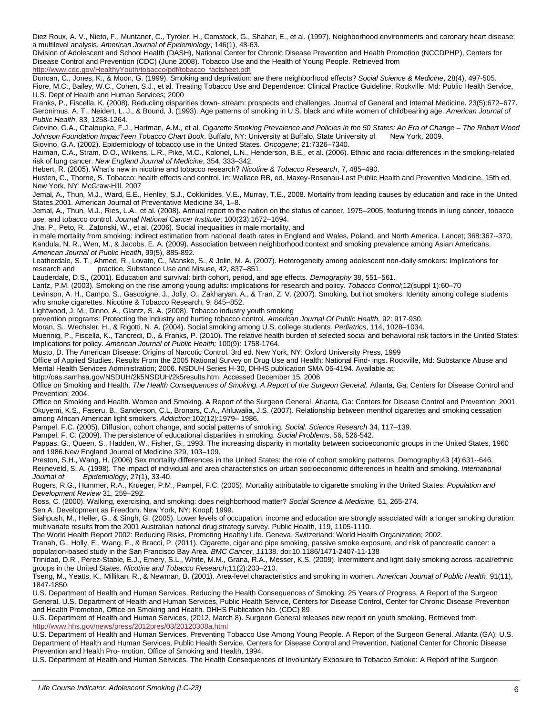Diez Roux, A. V., Nieto, F., Muntaner, C., Tyroler, H., Comstock, G., Shahar, E., et al. (1997). Neighborhood environments and coronary heart disease: a multilevel analysis. *American Journal of Epidemiology*, 146(1), 48-63.

Division of Adolescent and School Health (DASH), National Center for Chronic Disease Prevention and Health Promotion (NCCDPHP), Centers for Disease Control and Prevention (CDC) (June 2008). Tobacco Use and the Health of Young People. Retrieved from [http://www.cdc.gov/HealthyYouth/tobacco/pdf/tobacco\\_factsheet.pdf](http://www.cdc.gov/HealthyYouth/tobacco/pdf/tobacco_factsheet.pdf)

Duncan, C., Jones, K., & Moon, G. (1999). Smoking and deprivation: are there neighborhood effects? *Social Science & Medicine*, 28(4), 497-505. Fiore, M.C., Bailey, W.C., Cohen, S.J., et al. Treating Tobacco Use and Dependence: Clinical Practice Guideline. Rockville, Md: Public Health Service, U.S. Dept of Health and Human Services; 2000

Franks, P., Fiscella, K. (2008). Reduciing disparities down- stream: prospects and challenges. Journal of General and Internal Medicine. 23(5):672–677. Geronimus, A. T., Neidert, L. J., & Bound, J. (1993). Age patterns of smoking in U.S. black and white women of childbearing age. *American Journal of Public Health*, 83, 1258-1264.

Giovino, G.A., Chaloupka, F.J., Hartman, A.M., et al. *Cigarette Smoking Prevalence and Policies in the 50 States: An Era of Change – The Robert Wood Johnson Foundation ImpacTeen Tobacco Chart Book*. Buffalo, NY: University at Buffalo, State University of New York, 2009. Giovino, G.A. (2002). Epidemiology of tobacco use in the United States. *Oncogene*; 21:7326–7340.

Haiman, C.A., Stram, D.O., Wilkens, L.R., Pike, M.C., Kolonel, L.N., Henderson, B.E., et al. (2006). Ethnic and racial differences in the smoking-related risk of lung cancer. *New England Journal of Medicine*, 354, 333–342.

Hebert, R. (2005). What's new in nicotine and tobacco research? *Nicotine & Tobacco Research*, 7, 485–490.

Husten, C., Thorne, S. Tobacco: health effects and control. In: Wallace RB, ed. Maxey-Rosenau-Last Public Health and Preventive Medicine. 15th ed. New York, NY: McGraw-Hill. 2007

Jemal, A., Thun, M.J., Ward, E.E., Henley, S.J., Cokkinides, V.E., Murray, T.E., 2008. Mortality from leading causes by education and race in the United States,2001. American Journal of Preventative Medicine 34, 1–8.

Jemal, A., Thun, M.J., Ries, L.A., et al. (2008). Annual report to the nation on the status of cancer, 1975–2005, featuring trends in lung cancer, tobacco use, and tobacco control. *Journal National Cancer Institute*; 100(23):1672–1694.

Jha, P., Peto, R., Zatonski, W., et al. (2006). Social inequalities in male mortality, and

in male mortality from smoking: indirect estimation from national death rates in England and Wales, Poland, and North America. Lancet; 368:367--370. Kandula, N. R., Wen, M., & Jacobs, E. A. (2009). Association between neighborhood context and smoking prevalence among Asian Americans. *American Journal of Public Health*, 99(5), 885-892.

Leatherdale, S. T., Ahmed, R., Lovato, C., Manske, S., & Jolin, M. A. (2007). Heterogeneity among adolescent non-daily smokers: Implications for research and practice. Substance Use and Misuse, 42, 837–851.

Lauderdale, D.S., (2001). Education and survival: birth cohort, period, and age effects. *Demography* 38, 551–561.

Lantz, P.M. (2003). Smoking on the rise among young adults: implications for research and policy. *Tobacco Control*;12(suppl 1):60–70 Levinson, A. H., Campo, S., Gascoigne, J., Jolly, O., Zakharyan, A., & Tran, Z. V. (2007). Smoking, but not smokers: Identity among college students

who smoke cigarettes. Nicotine & Tobacco Research, 9, 845–852.

Lightwood, J. M., Dinno, A., Glantz, S. A. (2008). Tobacco industry youth smoking

prevention programs: Protecting the industry and hurting tobacco control. *American Journal Of Public Health.* 92: 917-930.

Moran, S., Wechsler, H., & Rigotti, N. A. (2004). Social smoking among U.S. college students*. Pediatrics*, 114, 1028–1034.

Muennig, P., Fiscella, K., Tancredi, D., & Franks, P. (2010). The relative health burden of selected social and behavioral risk factors in the United States: Implications for policy. *American Journal of Public Health;* 100(9): 1758-1764.

Musto, D. The American Disease: Origins of Narcotic Control. 3rd ed. New York, NY: Oxford University Press, 1999

Office of Applied Studies. Results From the 2005 National Survey on Drug Use and Health: National Find- ings. Rockville, Md: Substance Abuse and Mental Health Services Administration; 2006. NSDUH Series H-30, DHHS publication SMA 06-4194. Available at:

http://oas.samhsa.gov/NSDUH/2k5NSDUH/2k5results.htm. Accessed December 15, 2006

Office on Smoking and Health. *The Health Consequences of Smoking. A Report of the Surgeon General.* Atlanta, Ga; Centers for Disease Control and Prevention; 2004.

Office on Smoking and Health. Women and Smoking. A Report of the Surgeon General. Atlanta, Ga: Centers for Disease Control and Prevention; 2001. Okuyemi, K.S., Faseru, B., Sanderson, C.L, Bronars, C.A., Ahluwalia, J.S. (2007). Relationship between menthol cigarettes and smoking cessation among African American light smokers. *Addiction*;102(12):1979– 1986.

Pampel, F.C. (2005). Diffusion, cohort change, and social patterns of smoking. *Social. Science Research* 34, 117–139.

Pampel, F. C. (2009). The persistence of educational disparities in smoking. *Social Problems*, 56, 526-542.

Pappas, G., Queen, S., Hadden, W., Fisher, G., 1993. The increasing disparity in mortality between socioeconomic groups in the United States, 1960 and 1986.New England Journal of Medicine 329, 103–109.

Preston, S.H., Wang, H. (2006) Sex mortality differences in the United States: the role of cohort smoking patterns. Demography;43 (4):631--646.

Reijneveld, S. A. (1998). The impact of individual and area characteristics on urban socioeconomic differences in health and smoking. *International Journal of Epidemiology*, 27(1), 33-40.

Rogers, R.G., Hummer, R.A., Krueger, P.M., Pampel, F.C. (2005). Mortality attributable to cigarette smoking in the United States. *Population and Development Review* 31, 259–292.

Ross, C. (2000). Walking, exercising, and smoking: does neighborhood matter? *Social Science & Medicine*, 51, 265-274.

Sen A. Development as Freedom. New York, NY: Knopf; 1999.

Siahpush, M., Heller, G., & Singh, G. (2005). Lower levels of occupation, income and education are strongly associated with a longer smoking duration: multivariate results from the 2001 Australian national drug strategy survey. Public Health, 119, 1105-1110.

The World Health Report 2002: Reducing Risks, Promoting Healthy Life. Geneva, Switzerland: World Health Organization; 2002.

Tranah, G., Holly, E., Wang, F., & Bracci, P. (2011). Cigarette, cigar and pipe smoking, passive smoke exposure, and risk of pancreatic cancer: a population-based study in the San Francisco Bay Area. *BMC Cancer*, *11*138. doi:10.1186/1471-2407-11-138

Trinidad, D.R., Perez-Stable, E.J., Emery, S.L., White, M.M., Grana, R.A., Messer, K.S. (2009). Intermittent and light daily smoking across racial/ethnic groups in the United States. *Nicotine and Tobacco Research*;11(2):203–210.

Tseng, M., Yeatts, K., Millikan, R., & Newman, B. (2001). Area-level characteristics and smoking in women. *American Journal of Public Health*, 91(11), 1847-1850.

U.S. Department of Health and Human Services. Reducing the Health Consequences of Smoking: 25 Years of Progress. A Report of the Surgeon General. U.S. Department of Health and Human Services, Public Health Service, Centers for Disease Control, Center for Chronic Disease Prevention and Health Promotion, Office on Smoking and Health. DHHS Publication No. (CDC) 89

U.S. Department of Health and Human Services, (2012, March 8). Surgeon General releases new report on youth smoking. Retrieved from. <http://www.hhs.gov/news/press/2012pres/03/20120308a.html>

U.S. Department of Health and Human Services. Preventing Tobacco Use Among Young People. A Report of the Surgeon General. Atlanta (GA): U.S. Department of Health and Human Services, Public Health Service, Centers for Disease Control and Prevention, National Center for Chronic Disease Prevention and Health Pro- motion, Office of Smoking and Health, 1994.

U.S. Department of Health and Human Services. The Health Consequences of Involuntary Exposure to Tobacco Smoke: A Report of the Surgeon